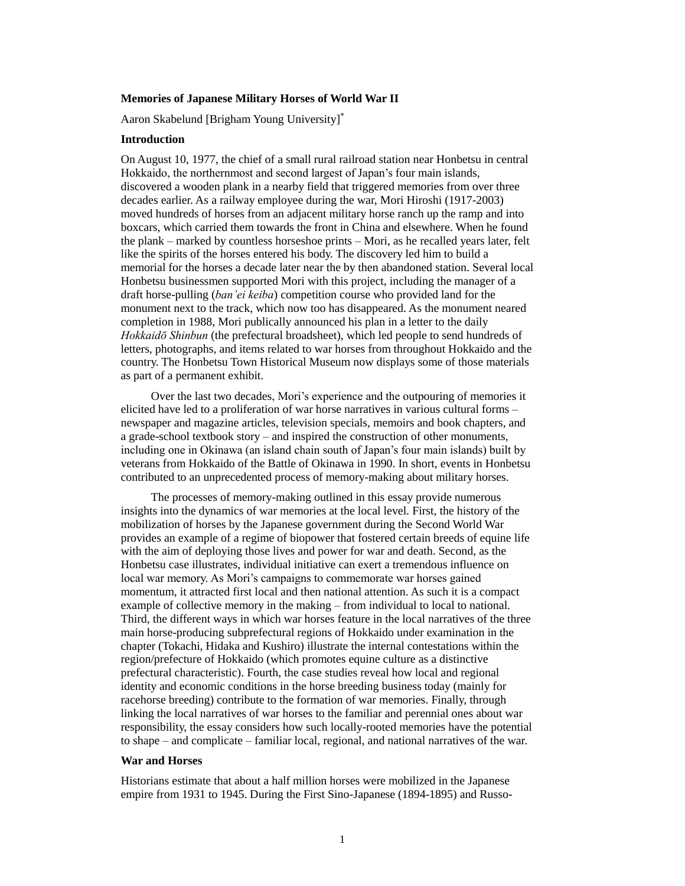# **Memories of Japanese Military Horses of World War II**

Aaron Skabelund [Brigham Young University]

## **Introduction**

On August 10, 1977, the chief of a small rural railroad station near Honbetsu in central Hokkaido, the northernmost and second largest of Japan's four main islands, discovered a wooden plank in a nearby field that triggered memories from over three decades earlier. As a railway employee during the war, Mori Hiroshi (1917-2003) moved hundreds of horses from an adjacent military horse ranch up the ramp and into boxcars, which carried them towards the front in China and elsewhere. When he found the plank – marked by countless horseshoe prints – Mori, as he recalled years later, felt like the spirits of the horses entered his body. The discovery led him to build a memorial for the horses a decade later near the by then abandoned station. Several local Honbetsu businessmen supported Mori with this project, including the manager of a draft horse-pulling (*ban'ei keiba*) competition course who provided land for the monument next to the track, which now too has disappeared. As the monument neared completion in 1988, Mori publically announced his plan in a letter to the daily *Hokkaidō Shinbun* (the prefectural broadsheet), which led people to send hundreds of letters, photographs, and items related to war horses from throughout Hokkaido and the country. The Honbetsu Town Historical Museum now displays some of those materials as part of a permanent exhibit.

Over the last two decades, Mori's experience and the outpouring of memories it elicited have led to a proliferation of war horse narratives in various cultural forms – newspaper and magazine articles, television specials, memoirs and book chapters, and a grade-school textbook story – and inspired the construction of other monuments, including one in Okinawa (an island chain south of Japan's four main islands) built by veterans from Hokkaido of the Battle of Okinawa in 1990. In short, events in Honbetsu contributed to an unprecedented process of memory-making about military horses.

The processes of memory-making outlined in this essay provide numerous insights into the dynamics of war memories at the local level. First, the history of the mobilization of horses by the Japanese government during the Second World War provides an example of a regime of biopower that fostered certain breeds of equine life with the aim of deploying those lives and power for war and death. Second, as the Honbetsu case illustrates, individual initiative can exert a tremendous influence on local war memory. As Mori's campaigns to commemorate war horses gained momentum, it attracted first local and then national attention. As such it is a compact example of collective memory in the making – from individual to local to national. Third, the different ways in which war horses feature in the local narratives of the three main horse-producing subprefectural regions of Hokkaido under examination in the chapter (Tokachi, Hidaka and Kushiro) illustrate the internal contestations within the region/prefecture of Hokkaido (which promotes equine culture as a distinctive prefectural characteristic). Fourth, the case studies reveal how local and regional identity and economic conditions in the horse breeding business today (mainly for racehorse breeding) contribute to the formation of war memories. Finally, through linking the local narratives of war horses to the familiar and perennial ones about war responsibility, the essay considers how such locally-rooted memories have the potential to shape – and complicate – familiar local, regional, and national narratives of the war.

## **War and Horses**

Historians estimate that about a half million horses were mobilized in the Japanese empire from 1931 to 1945. During the First Sino-Japanese (1894-1895) and Russo-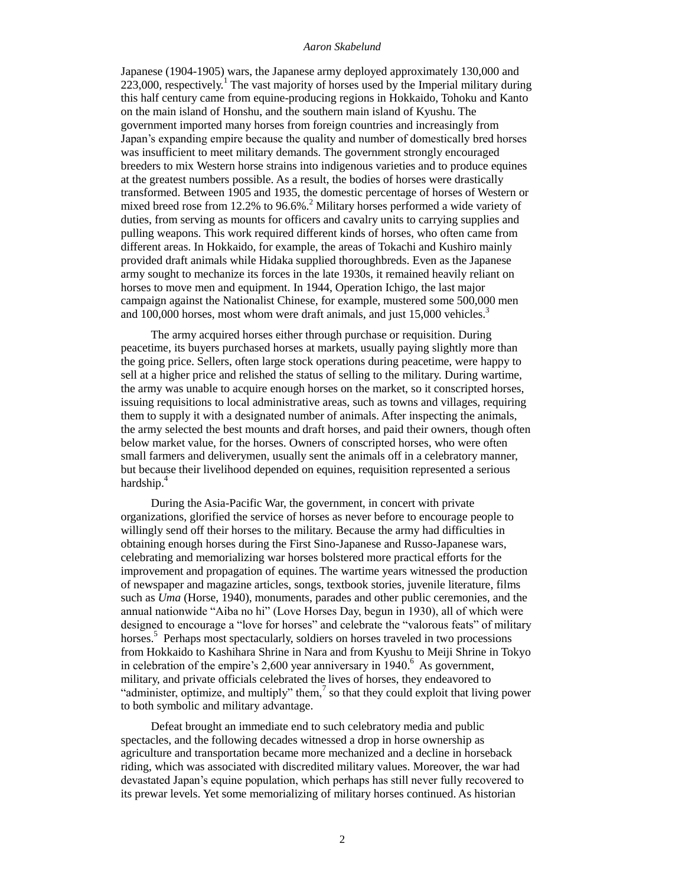Japanese (1904-1905) wars, the Japanese army deployed approximately 130,000 and  $223,000$ , respectively.<sup>1</sup> The vast majority of horses used by the Imperial military during this half century came from equine-producing regions in Hokkaido, Tohoku and Kanto on the main island of Honshu, and the southern main island of Kyushu. The government imported many horses from foreign countries and increasingly from Japan's expanding empire because the quality and number of domestically bred horses was insufficient to meet military demands. The government strongly encouraged breeders to mix Western horse strains into indigenous varieties and to produce equines at the greatest numbers possible. As a result, the bodies of horses were drastically transformed. Between 1905 and 1935, the domestic percentage of horses of Western or mixed breed rose from 12.2% to 96.6%.<sup>2</sup> Military horses performed a wide variety of duties, from serving as mounts for officers and cavalry units to carrying supplies and pulling weapons. This work required different kinds of horses, who often came from different areas. In Hokkaido, for example, the areas of Tokachi and Kushiro mainly provided draft animals while Hidaka supplied thoroughbreds. Even as the Japanese army sought to mechanize its forces in the late 1930s, it remained heavily reliant on horses to move men and equipment. In 1944, Operation Ichigo, the last major campaign against the Nationalist Chinese, for example, mustered some 500,000 men and  $100,000$  horses, most whom were draft animals, and just 15,000 vehicles.<sup>3</sup>

The army acquired horses either through purchase or requisition. During peacetime, its buyers purchased horses at markets, usually paying slightly more than the going price. Sellers, often large stock operations during peacetime, were happy to sell at a higher price and relished the status of selling to the military. During wartime, the army was unable to acquire enough horses on the market, so it conscripted horses, issuing requisitions to local administrative areas, such as towns and villages, requiring them to supply it with a designated number of animals. After inspecting the animals, the army selected the best mounts and draft horses, and paid their owners, though often below market value, for the horses. Owners of conscripted horses, who were often small farmers and deliverymen, usually sent the animals off in a celebratory manner, but because their livelihood depended on equines, requisition represented a serious hardship.<sup>4</sup>

During the Asia-Pacific War, the government, in concert with private organizations, glorified the service of horses as never before to encourage people to willingly send off their horses to the military. Because the army had difficulties in obtaining enough horses during the First Sino-Japanese and Russo-Japanese wars, celebrating and memorializing war horses bolstered more practical efforts for the improvement and propagation of equines. The wartime years witnessed the production of newspaper and magazine articles, songs, textbook stories, juvenile literature, films such as *Uma* (Horse, 1940), monuments, parades and other public ceremonies, and the annual nationwide "Aiba no hi" (Love Horses Day, begun in 1930), all of which were designed to encourage a "love for horses" and celebrate the "valorous feats" of military horses.<sup>5</sup> Perhaps most spectacularly, soldiers on horses traveled in two processions from Hokkaido to Kashihara Shrine in Nara and from Kyushu to Meiji Shrine in Tokyo in celebration of the empire's 2,600 year anniversary in 1940.<sup>6</sup> As government, military, and private officials celebrated the lives of horses, they endeavored to "administer, optimize, and multiply" them, $^7$  so that they could exploit that living power to both symbolic and military advantage.

Defeat brought an immediate end to such celebratory media and public spectacles, and the following decades witnessed a drop in horse ownership as agriculture and transportation became more mechanized and a decline in horseback riding, which was associated with discredited military values. Moreover, the war had devastated Japan's equine population, which perhaps has still never fully recovered to its prewar levels. Yet some memorializing of military horses continued. As historian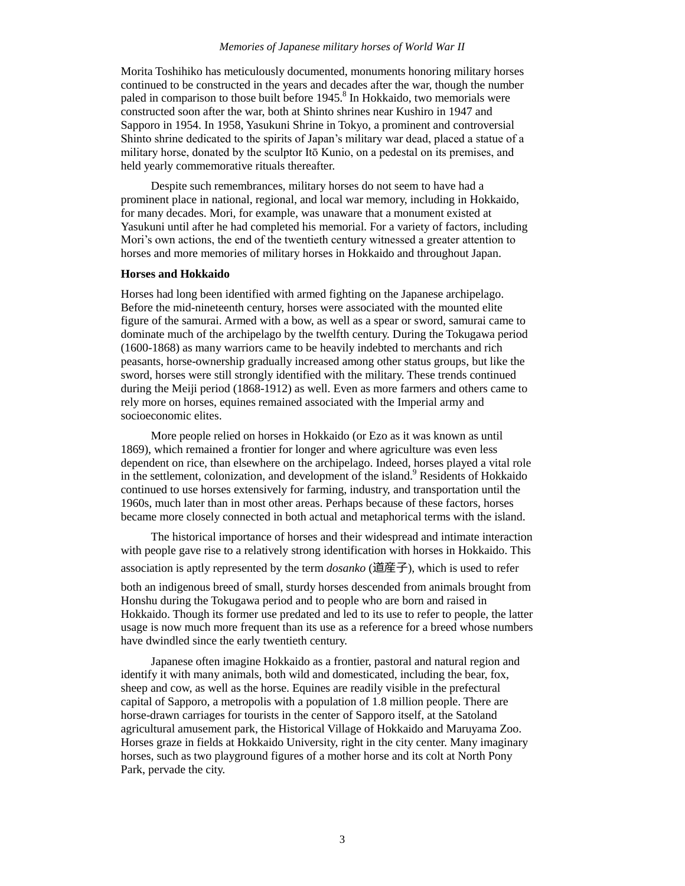## *Memories of Japanese military horses of World War II*

Morita Toshihiko has meticulously documented, monuments honoring military horses continued to be constructed in the years and decades after the war, though the number paled in comparison to those built before 1945.<sup>8</sup> In Hokkaido, two memorials were constructed soon after the war, both at Shinto shrines near Kushiro in 1947 and Sapporo in 1954. In 1958, Yasukuni Shrine in Tokyo, a prominent and controversial Shinto shrine dedicated to the spirits of Japan's military war dead, placed a statue of a military horse, donated by the sculptor Itō Kunio, on a pedestal on its premises, and held yearly commemorative rituals thereafter.

Despite such remembrances, military horses do not seem to have had a prominent place in national, regional, and local war memory, including in Hokkaido, for many decades. Mori, for example, was unaware that a monument existed at Yasukuni until after he had completed his memorial. For a variety of factors, including Mori's own actions, the end of the twentieth century witnessed a greater attention to horses and more memories of military horses in Hokkaido and throughout Japan.

## **Horses and Hokkaido**

Horses had long been identified with armed fighting on the Japanese archipelago. Before the mid-nineteenth century, horses were associated with the mounted elite figure of the samurai. Armed with a bow, as well as a spear or sword, samurai came to dominate much of the archipelago by the twelfth century. During the Tokugawa period (1600-1868) as many warriors came to be heavily indebted to merchants and rich peasants, horse-ownership gradually increased among other status groups, but like the sword, horses were still strongly identified with the military. These trends continued during the Meiji period (1868-1912) as well. Even as more farmers and others came to rely more on horses, equines remained associated with the Imperial army and socioeconomic elites.

More people relied on horses in Hokkaido (or Ezo as it was known as until 1869), which remained a frontier for longer and where agriculture was even less dependent on rice, than elsewhere on the archipelago. Indeed, horses played a vital role in the settlement, colonization, and development of the island.<sup>9</sup> Residents of Hokkaido continued to use horses extensively for farming, industry, and transportation until the 1960s, much later than in most other areas. Perhaps because of these factors, horses became more closely connected in both actual and metaphorical terms with the island.

The historical importance of horses and their widespread and intimate interaction with people gave rise to a relatively strong identification with horses in Hokkaido. This association is aptly represented by the term *dosanko* (道産子), which is used to refer both an indigenous breed of small, sturdy horses descended from animals brought from Honshu during the Tokugawa period and to people who are born and raised in Hokkaido. Though its former use predated and led to its use to refer to people, the latter usage is now much more frequent than its use as a reference for a breed whose numbers have dwindled since the early twentieth century.

Japanese often imagine Hokkaido as a frontier, pastoral and natural region and identify it with many animals, both wild and domesticated, including the bear, fox, sheep and cow, as well as the horse. Equines are readily visible in the prefectural capital of Sapporo, a metropolis with a population of 1.8 million people. There are horse-drawn carriages for tourists in the center of Sapporo itself, at the Satoland agricultural amusement park, the Historical Village of Hokkaido and Maruyama Zoo. Horses graze in fields at Hokkaido University, right in the city center. Many imaginary horses, such as two playground figures of a mother horse and its colt at North Pony Park, pervade the city.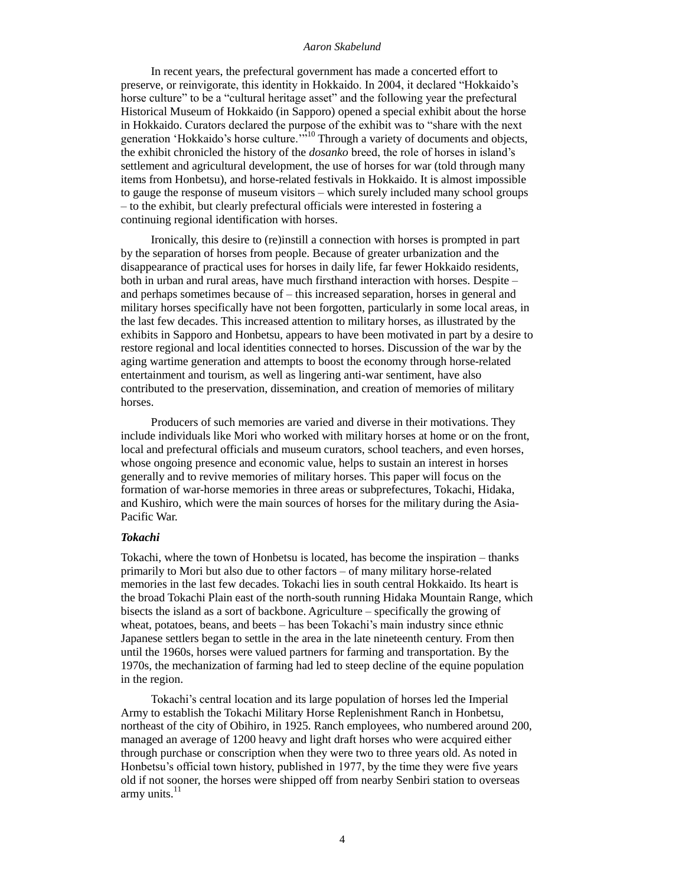In recent years, the prefectural government has made a concerted effort to preserve, or reinvigorate, this identity in Hokkaido. In 2004, it declared "Hokkaido's horse culture" to be a "cultural heritage asset" and the following year the prefectural Historical Museum of Hokkaido (in Sapporo) opened a special exhibit about the horse in Hokkaido. Curators declared the purpose of the exhibit was to "share with the next generation 'Hokkaido's horse culture."<sup>10</sup> Through a variety of documents and objects, the exhibit chronicled the history of the *dosanko* breed, the role of horses in island's settlement and agricultural development, the use of horses for war (told through many items from Honbetsu), and horse-related festivals in Hokkaido. It is almost impossible to gauge the response of museum visitors – which surely included many school groups – to the exhibit, but clearly prefectural officials were interested in fostering a continuing regional identification with horses.

Ironically, this desire to (re)instill a connection with horses is prompted in part by the separation of horses from people. Because of greater urbanization and the disappearance of practical uses for horses in daily life, far fewer Hokkaido residents, both in urban and rural areas, have much firsthand interaction with horses. Despite – and perhaps sometimes because of – this increased separation, horses in general and military horses specifically have not been forgotten, particularly in some local areas, in the last few decades. This increased attention to military horses, as illustrated by the exhibits in Sapporo and Honbetsu, appears to have been motivated in part by a desire to restore regional and local identities connected to horses. Discussion of the war by the aging wartime generation and attempts to boost the economy through horse-related entertainment and tourism, as well as lingering anti-war sentiment, have also contributed to the preservation, dissemination, and creation of memories of military horses.

Producers of such memories are varied and diverse in their motivations. They include individuals like Mori who worked with military horses at home or on the front, local and prefectural officials and museum curators, school teachers, and even horses, whose ongoing presence and economic value, helps to sustain an interest in horses generally and to revive memories of military horses. This paper will focus on the formation of war-horse memories in three areas or subprefectures, Tokachi, Hidaka, and Kushiro, which were the main sources of horses for the military during the Asia-Pacific War.

## *Tokachi*

Tokachi, where the town of Honbetsu is located, has become the inspiration – thanks primarily to Mori but also due to other factors – of many military horse-related memories in the last few decades. Tokachi lies in south central Hokkaido. Its heart is the broad Tokachi Plain east of the north-south running Hidaka Mountain Range, which bisects the island as a sort of backbone. Agriculture – specifically the growing of wheat, potatoes, beans, and beets – has been Tokachi's main industry since ethnic Japanese settlers began to settle in the area in the late nineteenth century. From then until the 1960s, horses were valued partners for farming and transportation. By the 1970s, the mechanization of farming had led to steep decline of the equine population in the region.

Tokachi's central location and its large population of horses led the Imperial Army to establish the Tokachi Military Horse Replenishment Ranch in Honbetsu, northeast of the city of Obihiro, in 1925. Ranch employees, who numbered around 200, managed an average of 1200 heavy and light draft horses who were acquired either through purchase or conscription when they were two to three years old. As noted in Honbetsu's official town history, published in 1977, by the time they were five years old if not sooner, the horses were shipped off from nearby Senbiri station to overseas army units. $^{11}$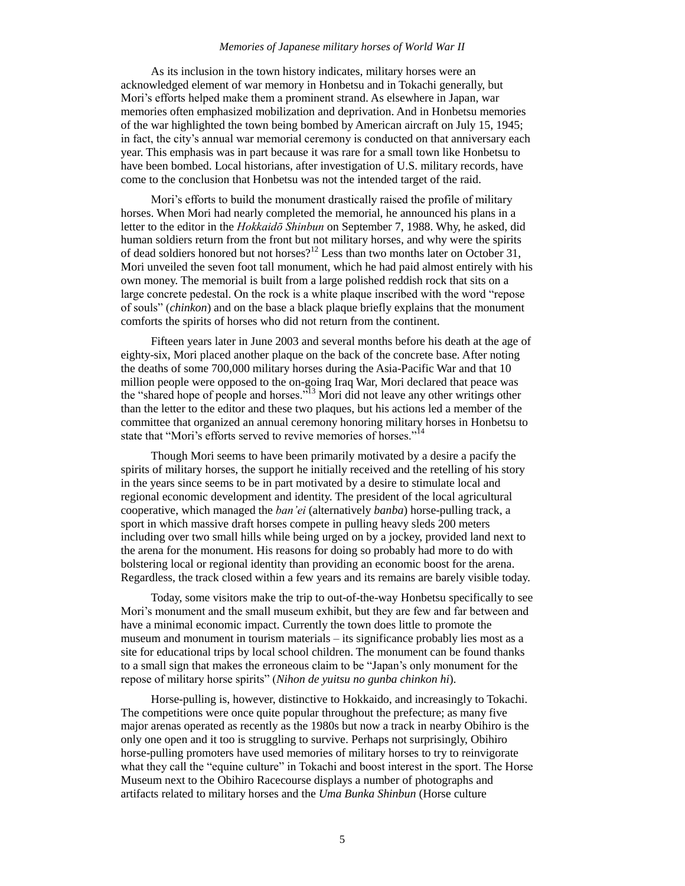### *Memories of Japanese military horses of World War II*

As its inclusion in the town history indicates, military horses were an acknowledged element of war memory in Honbetsu and in Tokachi generally, but Mori's efforts helped make them a prominent strand. As elsewhere in Japan, war memories often emphasized mobilization and deprivation. And in Honbetsu memories of the war highlighted the town being bombed by American aircraft on July 15, 1945; in fact, the city's annual war memorial ceremony is conducted on that anniversary each year. This emphasis was in part because it was rare for a small town like Honbetsu to have been bombed. Local historians, after investigation of U.S. military records, have come to the conclusion that Honbetsu was not the intended target of the raid.

Mori's efforts to build the monument drastically raised the profile of military horses. When Mori had nearly completed the memorial, he announced his plans in a letter to the editor in the *Hokkaidō Shinbun* on September 7, 1988. Why, he asked, did human soldiers return from the front but not military horses, and why were the spirits of dead soldiers honored but not horses?<sup>12</sup> Less than two months later on October 31, Mori unveiled the seven foot tall monument, which he had paid almost entirely with his own money. The memorial is built from a large polished reddish rock that sits on a large concrete pedestal. On the rock is a white plaque inscribed with the word "repose of souls" (*chinkon*) and on the base a black plaque briefly explains that the monument comforts the spirits of horses who did not return from the continent.

Fifteen years later in June 2003 and several months before his death at the age of eighty-six, Mori placed another plaque on the back of the concrete base. After noting the deaths of some 700,000 military horses during the Asia-Pacific War and that 10 million people were opposed to the on-going Iraq War, Mori declared that peace was the "shared hope of people and horses."<sup>13</sup> Mori did not leave any other writings other than the letter to the editor and these two plaques, but his actions led a member of the committee that organized an annual ceremony honoring military horses in Honbetsu to state that "Mori's efforts served to revive memories of horses."<sup>14</sup>

Though Mori seems to have been primarily motivated by a desire a pacify the spirits of military horses, the support he initially received and the retelling of his story in the years since seems to be in part motivated by a desire to stimulate local and regional economic development and identity. The president of the local agricultural cooperative, which managed the *ban'ei* (alternatively *banba*) horse-pulling track, a sport in which massive draft horses compete in pulling heavy sleds 200 meters including over two small hills while being urged on by a jockey, provided land next to the arena for the monument. His reasons for doing so probably had more to do with bolstering local or regional identity than providing an economic boost for the arena. Regardless, the track closed within a few years and its remains are barely visible today.

Today, some visitors make the trip to out-of-the-way Honbetsu specifically to see Mori's monument and the small museum exhibit, but they are few and far between and have a minimal economic impact. Currently the town does little to promote the museum and monument in tourism materials – its significance probably lies most as a site for educational trips by local school children. The monument can be found thanks to a small sign that makes the erroneous claim to be "Japan's only monument for the repose of military horse spirits" (*Nihon de yuitsu no gunba chinkon hi*).

Horse-pulling is, however, distinctive to Hokkaido, and increasingly to Tokachi. The competitions were once quite popular throughout the prefecture; as many five major arenas operated as recently as the 1980s but now a track in nearby Obihiro is the only one open and it too is struggling to survive. Perhaps not surprisingly, Obihiro horse-pulling promoters have used memories of military horses to try to reinvigorate what they call the "equine culture" in Tokachi and boost interest in the sport. The Horse Museum next to the Obihiro Racecourse displays a number of photographs and artifacts related to military horses and the *Uma Bunka Shinbun* (Horse culture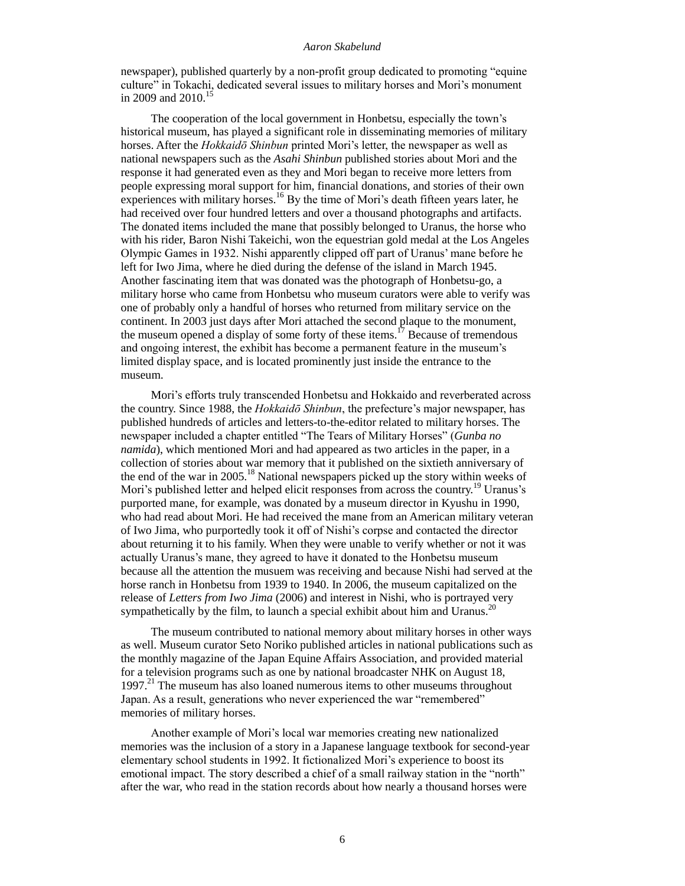newspaper), published quarterly by a non-profit group dedicated to promoting "equine culture" in Tokachi, dedicated several issues to military horses and Mori's monument in 2009 and 2010.<sup>15</sup>

The cooperation of the local government in Honbetsu, especially the town's historical museum, has played a significant role in disseminating memories of military horses. After the *Hokkaidō Shinbun* printed Mori's letter, the newspaper as well as national newspapers such as the *Asahi Shinbun* published stories about Mori and the response it had generated even as they and Mori began to receive more letters from people expressing moral support for him, financial donations, and stories of their own experiences with military horses.<sup>16</sup> By the time of Mori's death fifteen years later, he had received over four hundred letters and over a thousand photographs and artifacts. The donated items included the mane that possibly belonged to Uranus, the horse who with his rider, Baron Nishi Takeichi, won the equestrian gold medal at the Los Angeles Olympic Games in 1932. Nishi apparently clipped off part of Uranus' mane before he left for Iwo Jima, where he died during the defense of the island in March 1945. Another fascinating item that was donated was the photograph of Honbetsu-go, a military horse who came from Honbetsu who museum curators were able to verify was one of probably only a handful of horses who returned from military service on the continent. In 2003 just days after Mori attached the second plaque to the monument, the museum opened a display of some forty of these items.<sup>17</sup> Because of tremendous and ongoing interest, the exhibit has become a permanent feature in the museum's limited display space, and is located prominently just inside the entrance to the museum.

Mori's efforts truly transcended Honbetsu and Hokkaido and reverberated across the country. Since 1988, the *Hokkaidō Shinbun*, the prefecture's major newspaper, has published hundreds of articles and letters-to-the-editor related to military horses. The newspaper included a chapter entitled "The Tears of Military Horses" (*Gunba no namida*), which mentioned Mori and had appeared as two articles in the paper, in a collection of stories about war memory that it published on the sixtieth anniversary of the end of the war in 2005.<sup>18</sup> National newspapers picked up the story within weeks of Mori's published letter and helped elicit responses from across the country.<sup>19</sup> Uranus's purported mane, for example, was donated by a museum director in Kyushu in 1990, who had read about Mori. He had received the mane from an American military veteran of Iwo Jima, who purportedly took it off of Nishi's corpse and contacted the director about returning it to his family. When they were unable to verify whether or not it was actually Uranus's mane, they agreed to have it donated to the Honbetsu museum because all the attention the musuem was receiving and because Nishi had served at the horse ranch in Honbetsu from 1939 to 1940. In 2006, the museum capitalized on the release of *Letters from Iwo Jima* (2006) and interest in Nishi, who is portrayed very sympathetically by the film, to launch a special exhibit about him and Uranus.<sup>20</sup>

The museum contributed to national memory about military horses in other ways as well. Museum curator Seto Noriko published articles in national publications such as the monthly magazine of the Japan Equine Affairs Association, and provided material for a television programs such as one by national broadcaster NHK on August 18, 1997.<sup>21</sup> The museum has also loaned numerous items to other museums throughout Japan. As a result, generations who never experienced the war "remembered" memories of military horses.

Another example of Mori's local war memories creating new nationalized memories was the inclusion of a story in a Japanese language textbook for second-year elementary school students in 1992. It fictionalized Mori's experience to boost its emotional impact. The story described a chief of a small railway station in the "north" after the war, who read in the station records about how nearly a thousand horses were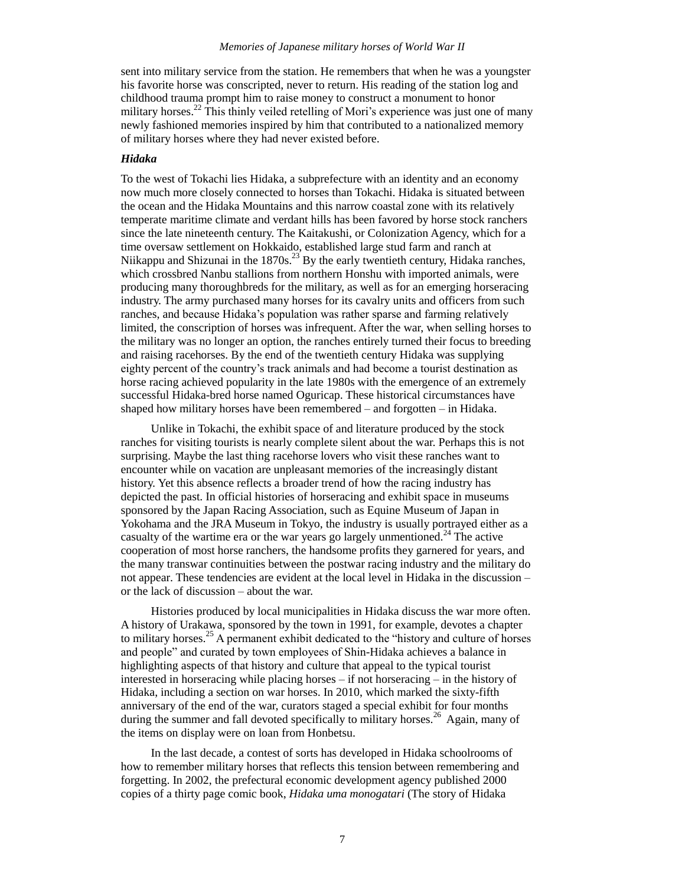sent into military service from the station. He remembers that when he was a youngster his favorite horse was conscripted, never to return. His reading of the station log and childhood trauma prompt him to raise money to construct a monument to honor military horses.<sup>22</sup> This thinly veiled retelling of Mori's experience was just one of many newly fashioned memories inspired by him that contributed to a nationalized memory of military horses where they had never existed before.

# *Hidaka*

To the west of Tokachi lies Hidaka, a subprefecture with an identity and an economy now much more closely connected to horses than Tokachi. Hidaka is situated between the ocean and the Hidaka Mountains and this narrow coastal zone with its relatively temperate maritime climate and verdant hills has been favored by horse stock ranchers since the late nineteenth century. The Kaitakushi, or Colonization Agency, which for a time oversaw settlement on Hokkaido, established large stud farm and ranch at Niikappu and Shizunai in the  $1870s^{23}$  By the early twentieth century, Hidaka ranches, which crossbred Nanbu stallions from northern Honshu with imported animals, were producing many thoroughbreds for the military, as well as for an emerging horseracing industry. The army purchased many horses for its cavalry units and officers from such ranches, and because Hidaka's population was rather sparse and farming relatively limited, the conscription of horses was infrequent. After the war, when selling horses to the military was no longer an option, the ranches entirely turned their focus to breeding and raising racehorses. By the end of the twentieth century Hidaka was supplying eighty percent of the country's track animals and had become a tourist destination as horse racing achieved popularity in the late 1980s with the emergence of an extremely successful Hidaka-bred horse named Oguricap. These historical circumstances have shaped how military horses have been remembered – and forgotten – in Hidaka.

Unlike in Tokachi, the exhibit space of and literature produced by the stock ranches for visiting tourists is nearly complete silent about the war. Perhaps this is not surprising. Maybe the last thing racehorse lovers who visit these ranches want to encounter while on vacation are unpleasant memories of the increasingly distant history. Yet this absence reflects a broader trend of how the racing industry has depicted the past. In official histories of horseracing and exhibit space in museums sponsored by the Japan Racing Association, such as Equine Museum of Japan in Yokohama and the JRA Museum in Tokyo, the industry is usually portrayed either as a casualty of the wartime era or the war years go largely unmentioned.<sup>24</sup> The active cooperation of most horse ranchers, the handsome profits they garnered for years, and the many transwar continuities between the postwar racing industry and the military do not appear. These tendencies are evident at the local level in Hidaka in the discussion – or the lack of discussion – about the war.

Histories produced by local municipalities in Hidaka discuss the war more often. A history of Urakawa, sponsored by the town in 1991, for example, devotes a chapter to military horses.<sup>25</sup> A permanent exhibit dedicated to the "history and culture of horses and people" and curated by town employees of Shin-Hidaka achieves a balance in highlighting aspects of that history and culture that appeal to the typical tourist interested in horseracing while placing horses – if not horseracing – in the history of Hidaka, including a section on war horses. In 2010, which marked the sixty-fifth anniversary of the end of the war, curators staged a special exhibit for four months during the summer and fall devoted specifically to military horses.<sup>26</sup> Again, many of the items on display were on loan from Honbetsu.

In the last decade, a contest of sorts has developed in Hidaka schoolrooms of how to remember military horses that reflects this tension between remembering and forgetting. In 2002, the prefectural economic development agency published 2000 copies of a thirty page comic book, *Hidaka uma monogatari* (The story of Hidaka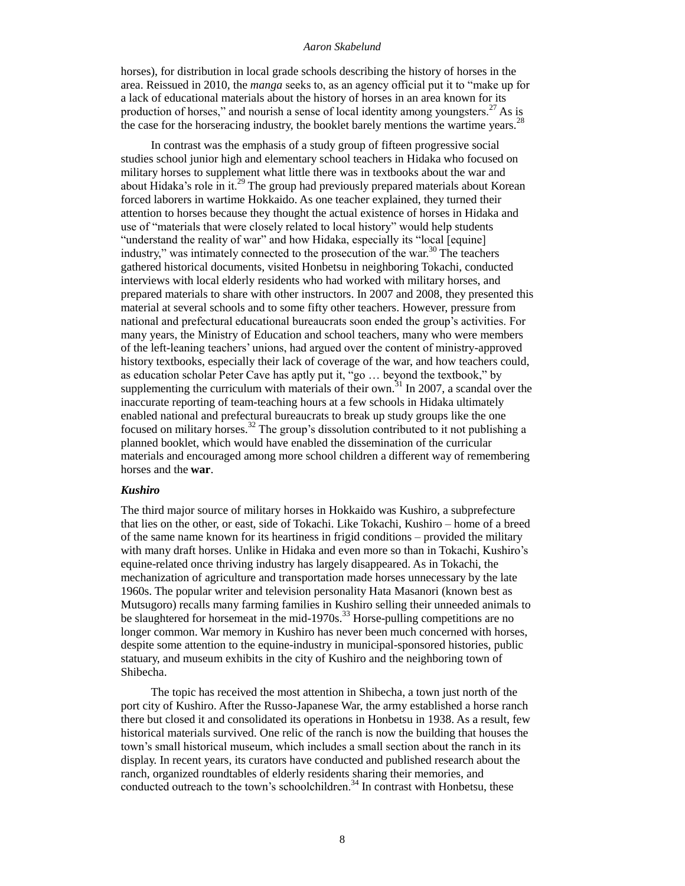horses), for distribution in local grade schools describing the history of horses in the area. Reissued in 2010, the *manga* seeks to, as an agency official put it to "make up for a lack of educational materials about the history of horses in an area known for its production of horses," and nourish a sense of local identity among youngsters.<sup>27</sup> As is the case for the horseracing industry, the booklet barely mentions the wartime years.<sup>28</sup>

In contrast was the emphasis of a study group of fifteen progressive social studies school junior high and elementary school teachers in Hidaka who focused on military horses to supplement what little there was in textbooks about the war and about Hidaka's role in it.<sup>29</sup> The group had previously prepared materials about Korean forced laborers in wartime Hokkaido. As one teacher explained, they turned their attention to horses because they thought the actual existence of horses in Hidaka and use of "materials that were closely related to local history" would help students "understand the reality of war" and how Hidaka, especially its "local [equine] industry," was intimately connected to the prosecution of the war. $30$  The teachers gathered historical documents, visited Honbetsu in neighboring Tokachi, conducted interviews with local elderly residents who had worked with military horses, and prepared materials to share with other instructors. In 2007 and 2008, they presented this material at several schools and to some fifty other teachers. However, pressure from national and prefectural educational bureaucrats soon ended the group's activities. For many years, the Ministry of Education and school teachers, many who were members of the left-leaning teachers' unions, had argued over the content of ministry-approved history textbooks, especially their lack of coverage of the war, and how teachers could, as education scholar Peter Cave has aptly put it, "go … beyond the textbook," by supplementing the curriculum with materials of their own.<sup>31</sup> In 2007, a scandal over the inaccurate reporting of team-teaching hours at a few schools in Hidaka ultimately enabled national and prefectural bureaucrats to break up study groups like the one focused on military horses.<sup>32</sup> The group's dissolution contributed to it not publishing a planned booklet, which would have enabled the dissemination of the curricular materials and encouraged among more school children a different way of remembering horses and the **war**.

## *Kushiro*

The third major source of military horses in Hokkaido was Kushiro, a subprefecture that lies on the other, or east, side of Tokachi. Like Tokachi, Kushiro – home of a breed of the same name known for its heartiness in frigid conditions – provided the military with many draft horses. Unlike in Hidaka and even more so than in Tokachi, Kushiro's equine-related once thriving industry has largely disappeared. As in Tokachi, the mechanization of agriculture and transportation made horses unnecessary by the late 1960s. The popular writer and television personality Hata Masanori (known best as Mutsugoro) recalls many farming families in Kushiro selling their unneeded animals to be slaughtered for horsemeat in the mid-1970s.<sup>33</sup> Horse-pulling competitions are no longer common. War memory in Kushiro has never been much concerned with horses, despite some attention to the equine-industry in municipal-sponsored histories, public statuary, and museum exhibits in the city of Kushiro and the neighboring town of Shibecha.

The topic has received the most attention in Shibecha, a town just north of the port city of Kushiro. After the Russo-Japanese War, the army established a horse ranch there but closed it and consolidated its operations in Honbetsu in 1938. As a result, few historical materials survived. One relic of the ranch is now the building that houses the town's small historical museum, which includes a small section about the ranch in its display. In recent years, its curators have conducted and published research about the ranch, organized roundtables of elderly residents sharing their memories, and conducted outreach to the town's schoolchildren.<sup>34</sup> In contrast with Honbetsu, these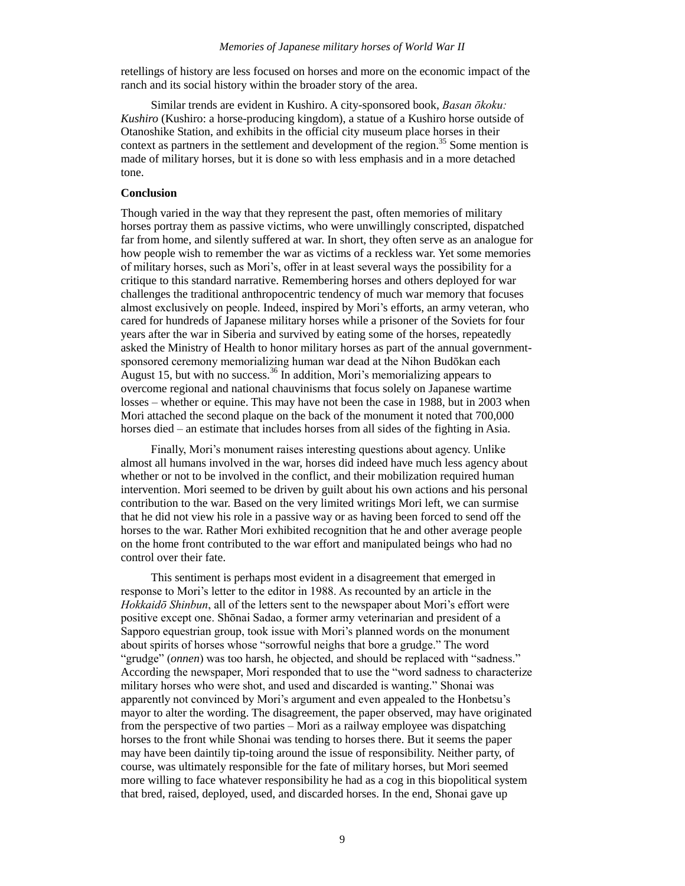## *Memories of Japanese military horses of World War II*

retellings of history are less focused on horses and more on the economic impact of the ranch and its social history within the broader story of the area.

Similar trends are evident in Kushiro. A city-sponsored book, *Basan ōkoku: Kushiro* (Kushiro: a horse-producing kingdom), a statue of a Kushiro horse outside of Otanoshike Station, and exhibits in the official city museum place horses in their context as partners in the settlement and development of the region.<sup>35</sup> Some mention is made of military horses, but it is done so with less emphasis and in a more detached tone.

# **Conclusion**

Though varied in the way that they represent the past, often memories of military horses portray them as passive victims, who were unwillingly conscripted, dispatched far from home, and silently suffered at war. In short, they often serve as an analogue for how people wish to remember the war as victims of a reckless war. Yet some memories of military horses, such as Mori's, offer in at least several ways the possibility for a critique to this standard narrative. Remembering horses and others deployed for war challenges the traditional anthropocentric tendency of much war memory that focuses almost exclusively on people. Indeed, inspired by Mori's efforts, an army veteran, who cared for hundreds of Japanese military horses while a prisoner of the Soviets for four years after the war in Siberia and survived by eating some of the horses, repeatedly asked the Ministry of Health to honor military horses as part of the annual governmentsponsored ceremony memorializing human war dead at the Nihon Budōkan each August 15, but with no success.<sup>36</sup> In addition, Mori's memorializing appears to overcome regional and national chauvinisms that focus solely on Japanese wartime losses – whether or equine. This may have not been the case in 1988, but in 2003 when Mori attached the second plaque on the back of the monument it noted that 700,000 horses died – an estimate that includes horses from all sides of the fighting in Asia.

Finally, Mori's monument raises interesting questions about agency. Unlike almost all humans involved in the war, horses did indeed have much less agency about whether or not to be involved in the conflict, and their mobilization required human intervention. Mori seemed to be driven by guilt about his own actions and his personal contribution to the war. Based on the very limited writings Mori left, we can surmise that he did not view his role in a passive way or as having been forced to send off the horses to the war. Rather Mori exhibited recognition that he and other average people on the home front contributed to the war effort and manipulated beings who had no control over their fate.

This sentiment is perhaps most evident in a disagreement that emerged in response to Mori's letter to the editor in 1988. As recounted by an article in the *Hokkaidō Shinbun*, all of the letters sent to the newspaper about Mori's effort were positive except one. Shōnai Sadao, a former army veterinarian and president of a Sapporo equestrian group, took issue with Mori's planned words on the monument about spirits of horses whose "sorrowful neighs that bore a grudge." The word "grudge" (*onnen*) was too harsh, he objected, and should be replaced with "sadness." According the newspaper, Mori responded that to use the "word sadness to characterize military horses who were shot, and used and discarded is wanting." Shonai was apparently not convinced by Mori's argument and even appealed to the Honbetsu's mayor to alter the wording. The disagreement, the paper observed, may have originated from the perspective of two parties – Mori as a railway employee was dispatching horses to the front while Shonai was tending to horses there. But it seems the paper may have been daintily tip-toing around the issue of responsibility. Neither party, of course, was ultimately responsible for the fate of military horses, but Mori seemed more willing to face whatever responsibility he had as a cog in this biopolitical system that bred, raised, deployed, used, and discarded horses. In the end, Shonai gave up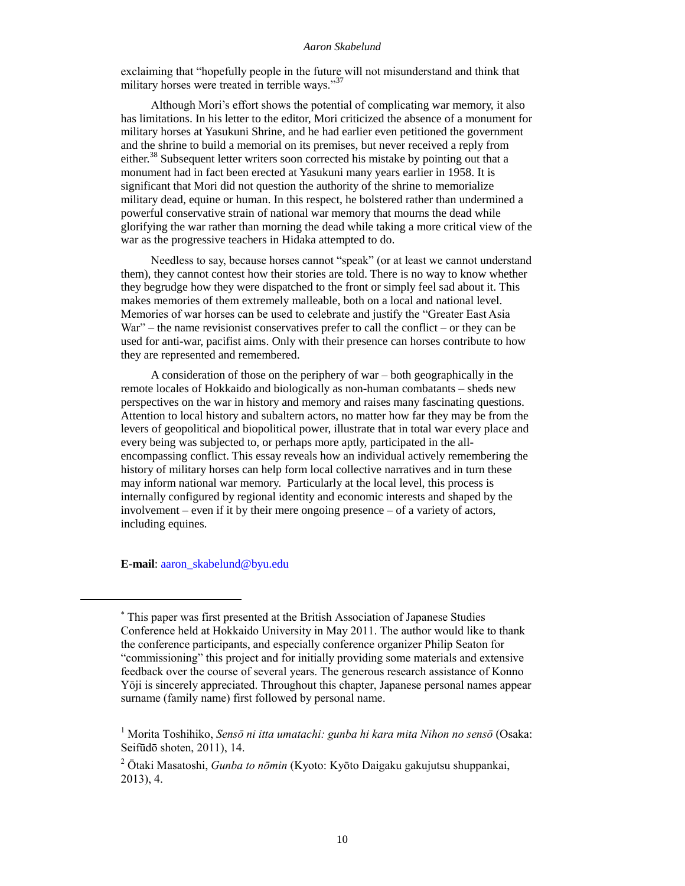exclaiming that "hopefully people in the future will not misunderstand and think that military horses were treated in terrible ways."<sup>37</sup>

Although Mori's effort shows the potential of complicating war memory, it also has limitations. In his letter to the editor, Mori criticized the absence of a monument for military horses at Yasukuni Shrine, and he had earlier even petitioned the government and the shrine to build a memorial on its premises, but never received a reply from either.<sup>38</sup> Subsequent letter writers soon corrected his mistake by pointing out that a monument had in fact been erected at Yasukuni many years earlier in 1958. It is significant that Mori did not question the authority of the shrine to memorialize military dead, equine or human. In this respect, he bolstered rather than undermined a powerful conservative strain of national war memory that mourns the dead while glorifying the war rather than morning the dead while taking a more critical view of the war as the progressive teachers in Hidaka attempted to do.

Needless to say, because horses cannot "speak" (or at least we cannot understand them), they cannot contest how their stories are told. There is no way to know whether they begrudge how they were dispatched to the front or simply feel sad about it. This makes memories of them extremely malleable, both on a local and national level. Memories of war horses can be used to celebrate and justify the "Greater East Asia  $War'' -$  the name revisionist conservatives prefer to call the conflict – or they can be used for anti-war, pacifist aims. Only with their presence can horses contribute to how they are represented and remembered.

A consideration of those on the periphery of war – both geographically in the remote locales of Hokkaido and biologically as non-human combatants – sheds new perspectives on the war in history and memory and raises many fascinating questions. Attention to local history and subaltern actors, no matter how far they may be from the levers of geopolitical and biopolitical power, illustrate that in total war every place and every being was subjected to, or perhaps more aptly, participated in the allencompassing conflict. This essay reveals how an individual actively remembering the history of military horses can help form local collective narratives and in turn these may inform national war memory. Particularly at the local level, this process is internally configured by regional identity and economic interests and shaped by the involvement – even if it by their mere ongoing presence – of a variety of actors, including equines.

**E-mail**: [aaron\\_skabelund@byu.edu](mailto:aaron_skabelund@byu.edu)

This paper was first presented at the British Association of Japanese Studies Conference held at Hokkaido University in May 2011. The author would like to thank the conference participants, and especially conference organizer Philip Seaton for "commissioning" this project and for initially providing some materials and extensive feedback over the course of several years. The generous research assistance of Konno Yōji is sincerely appreciated. Throughout this chapter, Japanese personal names appear surname (family name) first followed by personal name.

<sup>1</sup> Morita Toshihiko, *Sensō ni itta umatachi: gunba hi kara mita Nihon no sensō* (Osaka: Seifūdō shoten, 2011), 14.

<sup>2</sup> Ōtaki Masatoshi, *Gunba to nōmin* (Kyoto: Kyōto Daigaku gakujutsu shuppankai, 2013), 4.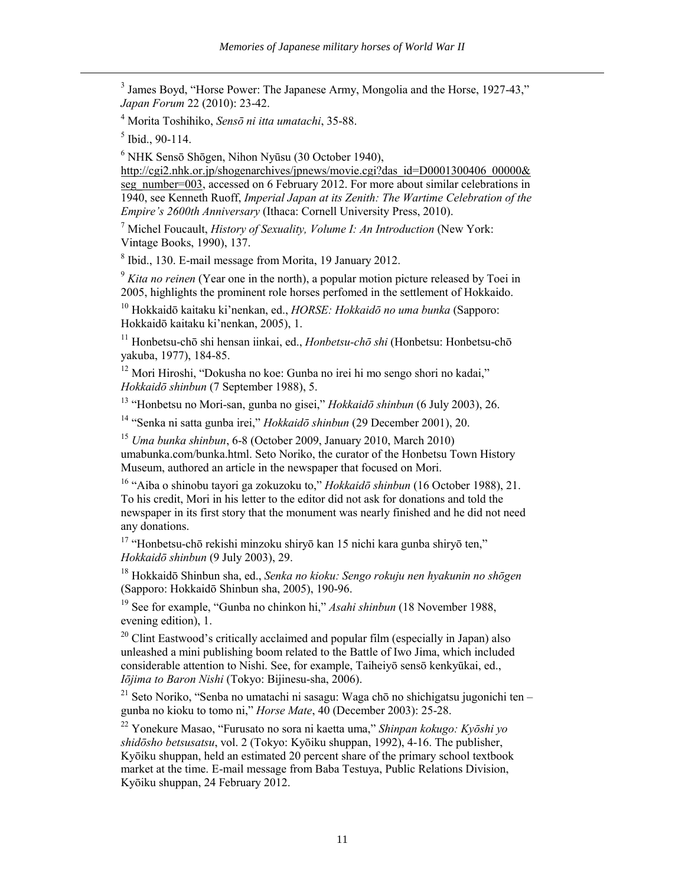<sup>3</sup> James Boyd, "Horse Power: The Japanese Army, Mongolia and the Horse, 1927-43," *Japan Forum* 22 (2010): 23-42.

<sup>4</sup> Morita Toshihiko, *Sensō ni itta umatachi*, 35-88.

 $<sup>5</sup>$  Ibid., 90-114.</sup>

 $\overline{a}$ 

 $6$  NHK Sensō Shōgen, Nihon Nyūsu (30 October 1940),

[http://cgi2.nhk.or.jp/shogenarchives/jpnews/movie.cgi?das\\_id=D0001300406\\_00000&](http://cgi2.nhk.or.jp/shogenarchives/jpnews/movie.cgi?das_id=D0001300406_00000&seg_number=003) [seg\\_number=003,](http://cgi2.nhk.or.jp/shogenarchives/jpnews/movie.cgi?das_id=D0001300406_00000&seg_number=003) accessed on 6 February 2012. For more about similar celebrations in 1940, see Kenneth Ruoff, *Imperial Japan at its Zenith: The Wartime Celebration of the Empire's 2600th Anniversary* (Ithaca: Cornell University Press, 2010).

<sup>7</sup> Michel Foucault, *History of Sexuality, Volume I: An Introduction* (New York: Vintage Books, 1990), 137.

8 Ibid., 130. E-mail message from Morita, 19 January 2012.

<sup>9</sup> *Kita no reinen* (Year one in the north), a popular motion picture released by Toei in 2005, highlights the prominent role horses perfomed in the settlement of Hokkaido.

<sup>10</sup> Hokkaidō kaitaku ki'nenkan, ed., *HORSE: Hokkaidō no uma bunka* (Sapporo: Hokkaidō kaitaku ki'nenkan, 2005), 1.

<sup>11</sup> Honbetsu-chō shi hensan iinkai, ed., *Honbetsu-chō shi* (Honbetsu: Honbetsu-chō yakuba, 1977), 184-85.

<sup>12</sup> Mori Hiroshi, "Dokusha no koe: Gunba no irei hi mo sengo shori no kadai," *Hokkaidō shinbun* (7 September 1988), 5.

<sup>13</sup> "Honbetsu no Mori-san, gunba no gisei," *Hokkaidō shinbun* (6 July 2003), 26.

<sup>14</sup> "Senka ni satta gunba irei," *Hokkaidō shinbun* (29 December 2001), 20.

<sup>15</sup> *Uma bunka shinbun*, 6-8 (October 2009, January 2010, March 2010) umabunka.com/bunka.html. Seto Noriko, the curator of the Honbetsu Town History Museum, authored an article in the newspaper that focused on Mori.

<sup>16</sup> "Aiba o shinobu tayori ga zokuzoku to," *Hokkaidō shinbun* (16 October 1988), 21. To his credit, Mori in his letter to the editor did not ask for donations and told the newspaper in its first story that the monument was nearly finished and he did not need any donations.

<sup>17</sup> "Honbetsu-chō rekishi minzoku shiryō kan 15 nichi kara gunba shiryō ten," *Hokkaidō shinbun* (9 July 2003), 29.

<sup>18</sup> Hokkaidō Shinbun sha, ed., *Senka no kioku: Sengo rokuju nen hyakunin no shōgen* (Sapporo: Hokkaidō Shinbun sha, 2005), 190-96.

<sup>19</sup> See for example, "Gunba no chinkon hi," *Asahi shinbun* (18 November 1988, evening edition), 1.

 $20$  Clint Eastwood's critically acclaimed and popular film (especially in Japan) also unleashed a mini publishing boom related to the Battle of Iwo Jima, which included considerable attention to Nishi. See, for example, Taiheiyō sensō kenkyūkai, ed., *Iōjima to Baron Nishi* (Tokyo: Bijinesu-sha, 2006).

 $21$  Seto Noriko, "Senba no umatachi ni sasagu: Waga chō no shichigatsu jugonichi ten – gunba no kioku to tomo ni," *Horse Mate*, 40 (December 2003): 25-28.

<sup>22</sup> Yonekure Masao, "Furusato no sora ni kaetta uma," *Shinpan kokugo: Kyōshi yo shidōsho betsusatsu*, vol. 2 (Tokyo: Kyōiku shuppan, 1992), 4-16. The publisher, Kyōiku shuppan, held an estimated 20 percent share of the primary school textbook market at the time. E-mail message from Baba Testuya, Public Relations Division, Kyōiku shuppan, 24 February 2012.